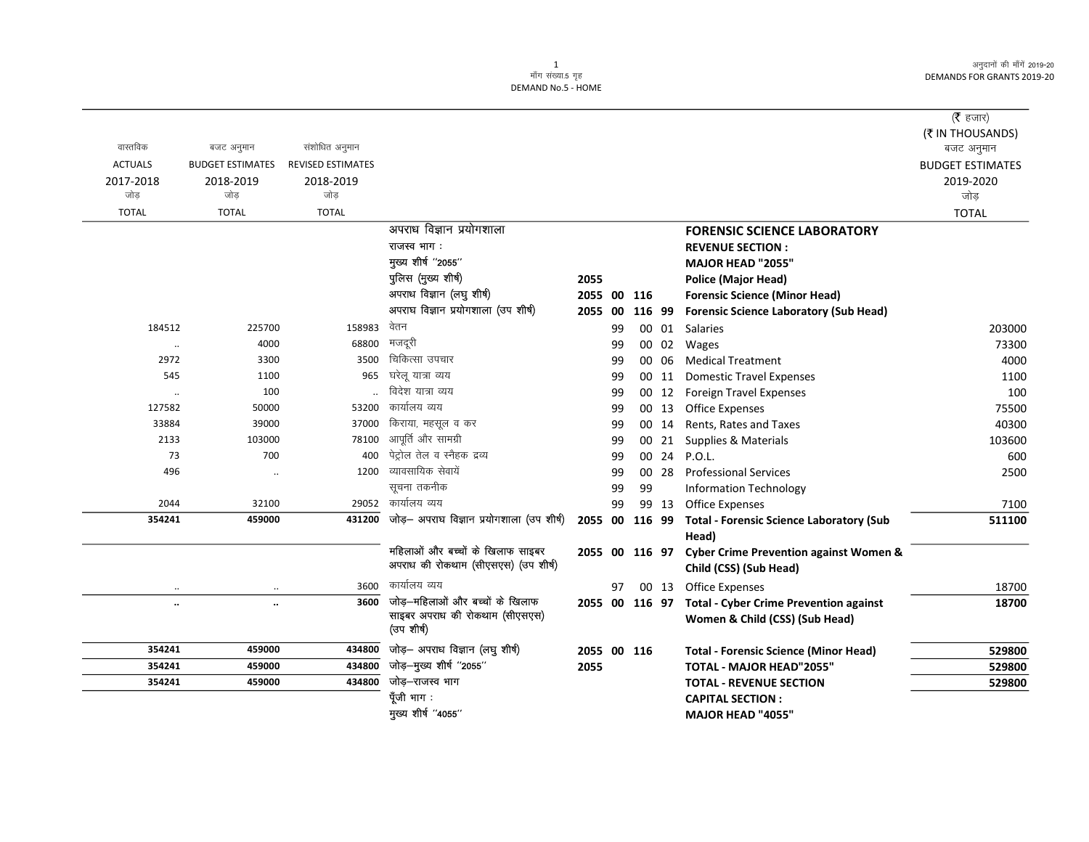अनुदानों की माँगें 2019-20 **DEMANDS FOR GRANTS 2019-20** 

|                      |                         |                          |                                                                   |                |    |    |        |                                                                             | (रै हजार)               |
|----------------------|-------------------------|--------------------------|-------------------------------------------------------------------|----------------|----|----|--------|-----------------------------------------------------------------------------|-------------------------|
|                      |                         |                          |                                                                   |                |    |    |        |                                                                             | (そ IN THOUSANDS)        |
| वास्तविक             | बजट अनुमान              | संशोधित अनुमान           |                                                                   |                |    |    |        |                                                                             | बजट अनुमान              |
| <b>ACTUALS</b>       | <b>BUDGET ESTIMATES</b> | <b>REVISED ESTIMATES</b> |                                                                   |                |    |    |        |                                                                             | <b>BUDGET ESTIMATES</b> |
| 2017-2018            | 2018-2019               | 2018-2019                |                                                                   |                |    |    |        |                                                                             | 2019-2020               |
| जोड                  | जोड                     | जोड                      |                                                                   |                |    |    |        |                                                                             | जोड़                    |
| <b>TOTAL</b>         | <b>TOTAL</b>            | <b>TOTAL</b>             |                                                                   |                |    |    |        |                                                                             | <b>TOTAL</b>            |
|                      |                         |                          | अपराध विज्ञान प्रयोगशाला                                          |                |    |    |        | <b>FORENSIC SCIENCE LABORATORY</b>                                          |                         |
|                      |                         |                          | राजस्व भाग:                                                       |                |    |    |        | <b>REVENUE SECTION:</b>                                                     |                         |
|                      |                         |                          | मुख्य शीर्ष "2055"                                                |                |    |    |        | MAJOR HEAD "2055"                                                           |                         |
|                      |                         |                          | पुलिस (मुख्य शीर्ष)                                               | 2055           |    |    |        | <b>Police (Major Head)</b>                                                  |                         |
|                      |                         |                          | अपराध विज्ञान (लघु शीर्ष)                                         | 2055 00 116    |    |    |        | <b>Forensic Science (Minor Head)</b>                                        |                         |
|                      |                         |                          | अपराघ विज्ञान प्रयोगशाला (उप शीर्ष)                               | 2055 00        |    |    | 116 99 | <b>Forensic Science Laboratory (Sub Head)</b>                               |                         |
| 184512               | 225700                  | 158983                   | वेतन                                                              |                | 99 |    |        | 00 01 Salaries                                                              | 203000                  |
| $\cdot\cdot$         | 4000                    | 68800                    | मजदूरी                                                            |                | 99 |    | 00 02  | Wages                                                                       | 73300                   |
| 2972                 | 3300                    | 3500                     | चिकित्सा उपचार                                                    |                | 99 |    | 00 06  | <b>Medical Treatment</b>                                                    | 4000                    |
| 545                  | 1100                    | 965                      | घरेलू यात्रा व्यय                                                 |                | 99 |    | 00 11  | <b>Domestic Travel Expenses</b>                                             | 1100                    |
| $\ldots$             | 100                     |                          | विदेश यात्रा व्यय                                                 |                | 99 |    | 00 12  | <b>Foreign Travel Expenses</b>                                              | 100                     |
| 127582               | 50000                   | 53200                    | कार्यालय व्यय                                                     |                | 99 |    | 00 13  | Office Expenses                                                             | 75500                   |
| 33884                | 39000                   | 37000                    | किराया, महसूल व कर                                                |                | 99 | 00 | 14     | Rents, Rates and Taxes                                                      | 40300                   |
| 2133                 | 103000                  | 78100                    | आपूर्ति और सामग्री                                                |                | 99 | 00 | 21     | Supplies & Materials                                                        | 103600                  |
| 73                   | 700                     | 400                      | पेट्रोल तेल व स्नैहक द्रव्य                                       |                | 99 |    | 00 24  | P.O.L.                                                                      | 600                     |
| 496                  | $\ddot{\phantom{a}}$    | 1200                     | व्यावसायिक सेवायें                                                |                | 99 |    | 00 28  | <b>Professional Services</b>                                                | 2500                    |
|                      |                         |                          | सूचना तकनीक                                                       |                | 99 | 99 |        | <b>Information Technology</b>                                               |                         |
| 2044                 | 32100                   | 29052                    | कार्यालय व्यय                                                     |                | 99 |    | 99 13  | <b>Office Expenses</b>                                                      | 7100                    |
| 354241               | 459000                  | 431200                   | जोड़- अपराघ विज्ञान प्रयोगशाला (उप शीर्ष)                         |                |    |    |        | 2055 00 116 99 Total - Forensic Science Laboratory (Sub                     | 511100                  |
|                      |                         |                          | महिलाओं और बच्चों के खिलाफ साइबर                                  |                |    |    |        | Head)                                                                       |                         |
|                      |                         |                          | अपराध की रोकथाम (सीएसएस) (उप शीर्ष)                               | 2055 00 116 97 |    |    |        | <b>Cyber Crime Prevention against Women &amp;</b><br>Child (CSS) (Sub Head) |                         |
| $\ldots$             | $\ldots$                | 3600                     | कार्यालय व्यय                                                     |                | 97 |    |        | 00 13 Office Expenses                                                       | 18700                   |
| $\ddot{\phantom{0}}$ | $\ddotsc$               | 3600                     | जोड़-महिलाओं और बच्चों के खिलाफ<br>साइबर अपराध की रोकथाम (सीएसएस) |                |    |    |        | 2055 00 116 97 Total - Cyber Crime Prevention against                       | 18700                   |
|                      |                         |                          | (उप शीर्ष)                                                        |                |    |    |        | Women & Child (CSS) (Sub Head)                                              |                         |
| 354241               | 459000                  |                          | $\overline{434800}$ जोड़- अपराध विज्ञान (लघु शीर्ष)               | 2055 00 116    |    |    |        | <b>Total - Forensic Science (Minor Head)</b>                                | 529800                  |
| 354241               | 459000                  | 434800                   | जोड़—मुख्य शीर्ष ''2055''                                         | 2055           |    |    |        | <b>TOTAL - MAJOR HEAD"2055"</b>                                             | 529800                  |
| 354241               | 459000                  | 434800                   | जोड़–राजस्व भाग                                                   |                |    |    |        | <b>TOTAL - REVENUE SECTION</b>                                              | 529800                  |
|                      |                         |                          | पूँजी भाग :                                                       |                |    |    |        | <b>CAPITAL SECTION:</b>                                                     |                         |
|                      |                         |                          | मुख्य शीर्ष "4055"                                                |                |    |    |        | MAJOR HEAD "4055"                                                           |                         |